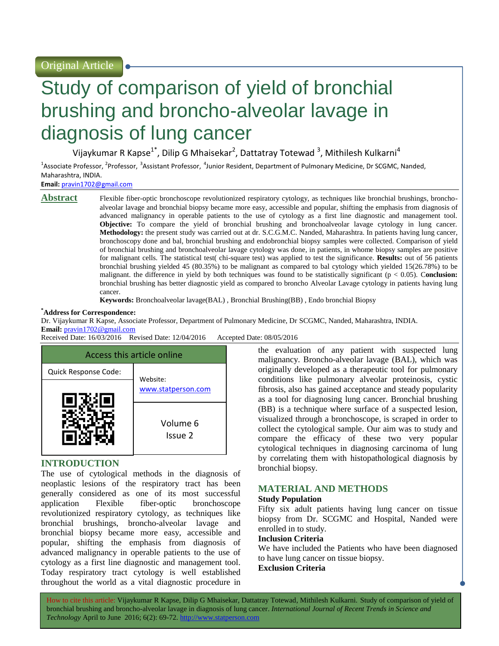# Study of comparison of yield of bronchial brushing and broncho-alveolar lavage in diagnosis of lung cancer

Vijaykumar R Kapse<sup>1\*</sup>, Dilip G Mhaisekar<sup>2</sup>, Dattatray Totewad <sup>3</sup>, Mithilesh Kulkarni<sup>4</sup>

<sup>1</sup>Associate Professor, <sup>2</sup>Professor, <sup>3</sup>Assistant Professor, <sup>4</sup>Junior Resident, Department of Pulmonary Medicine, Dr SCGMC, Nanded, Maharashtra, INDIA.

**Email:** [pravin1702@gmail.com](mailto:pravin1702@gmail.com)

**Abstract** Flexible fiber-optic bronchoscope revolutionized respiratory cytology, as techniques like bronchial brushings, bronchoalveolar lavage and bronchial biopsy became more easy, accessible and popular, shifting the emphasis from diagnosis of advanced malignancy in operable patients to the use of cytology as a first line diagnostic and management tool. **Objective:** To compare the yield of bronchial brushing and bronchoalveolar lavage cytology in lung cancer. **Methodology:** the present study was carried out at dr. S.C.G.M.C. Nanded, Maharashtra. In patients having lung cancer, bronchoscopy done and bal, bronchial brushing and endobronchial biopsy samples were collected. Comparison of yield of bronchial brushing and bronchoalveolar lavage cytology was done, in patients, in whome biopsy samples are positive for malignant cells. The statistical test( chi-square test) was applied to test the significance. **Results:** out of 56 patients bronchial brushing yielded 45 (80.35%) to be malignant as compared to bal cytology which yielded 15(26.78%) to be malignant. the difference in yield by both techniques was found to be statistically significant (p < 0.05). C**onclusion:** bronchial brushing has better diagnostic yield as compared to broncho Alveolar Lavage cytology in patients having lung cancer.

**Keywords:** Bronchoalveolar lavage(BAL) , Bronchial Brushing(BB) , Endo bronchial Biopsy

#### **\*Address for Correspondence:**

Dr. Vijaykumar R Kapse, Associate Professor, Department of Pulmonary Medicine, Dr SCGMC, Nanded, Maharashtra, INDIA.

# **Email:** [pravin1702@gmail.com](mailto:pravin1702@gmail.com)

Received Date: 16/03/2016 Revised Date: 12/04/2016 Accepted Date: 08/05/2016



# **INTRODUCTION**

The use of cytological methods in the diagnosis of neoplastic lesions of the respiratory tract has been generally considered as one of its most successful application Flexible fiber-optic bronchoscope revolutionized respiratory cytology, as techniques like bronchial brushings, broncho-alveolar lavage and bronchial biopsy became more easy, accessible and popular, shifting the emphasis from diagnosis of advanced malignancy in operable patients to the use of cytology as a first line diagnostic and management tool. Today respiratory tract cytology is well established throughout the world as a vital diagnostic procedure in the evaluation of any patient with suspected lung malignancy. Broncho-alveolar lavage (BAL), which was originally developed as a therapeutic tool for pulmonary conditions like pulmonary alveolar proteinosis, cystic fibrosis, also has gained acceptance and steady popularity as a tool for diagnosing lung cancer. Bronchial brushing (BB) is a technique where surface of a suspected lesion, visualized through a bronchoscope, is scraped in order to collect the cytological sample. Our aim was to study and compare the efficacy of these two very popular cytological techniques in diagnosing carcinoma of lung by correlating them with histopathological diagnosis by bronchial biopsy.

# **MATERIAL AND METHODS**

# **Study Population**

Fifty six adult patients having lung cancer on tissue biopsy from Dr. SCGMC and Hospital, Nanded were enrolled in to study.

#### **Inclusion Criteria**

We have included the Patients who have been diagnosed to have lung cancer on tissue biopsy.

# **Exclusion Criteria**

How to cite this article: Vijaykumar R Kapse, Dilip G Mhaisekar, Dattatray Totewad, Mithilesh Kulkarni*.* Study of comparison of yield of bronchial brushing and broncho-alveolar lavage in diagnosis of lung cancer. *International Journal of Recent Trends in Science and Technology* April to June 2016; 6(2): 69-72. http://www.statperson.com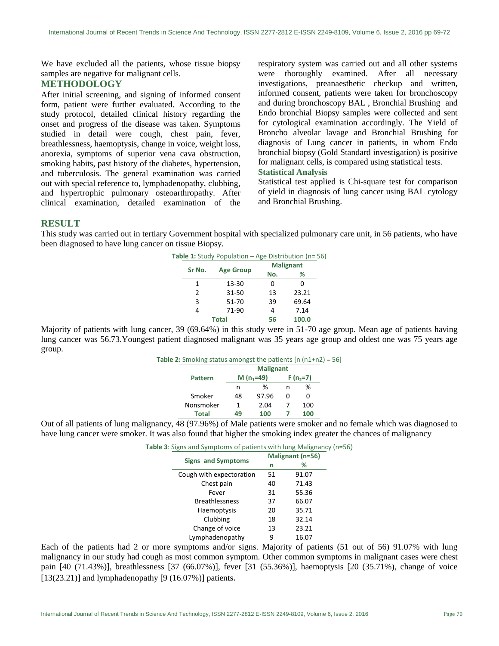We have excluded all the patients, whose tissue biopsy samples are negative for malignant cells.

### **METHODOLOGY**

After initial screening, and signing of informed consent form, patient were further evaluated. According to the study protocol, detailed clinical history regarding the onset and progress of the disease was taken. Symptoms studied in detail were cough, chest pain, fever, breathlessness, haemoptysis, change in voice, weight loss, anorexia, symptoms of superior vena cava obstruction, smoking habits, past history of the diabetes, hypertension, and tuberculosis. The general examination was carried out with special reference to, lymphadenopathy, clubbing, and hypertrophic pulmonary osteoarthropathy. After clinical examination, detailed examination of the respiratory system was carried out and all other systems were thoroughly examined. After all necessary investigations, preanaesthetic checkup and written, informed consent, patients were taken for bronchoscopy and during bronchoscopy BAL , Bronchial Brushing and Endo bronchial Biopsy samples were collected and sent for cytological examination accordingly. The Yield of Broncho alveolar lavage and Bronchial Brushing for diagnosis of Lung cancer in patients, in whom Endo bronchial biopsy (Gold Standard investigation) is positive for malignant cells, is compared using statistical tests. **Statistical Analysis**

Statistical test applied is Chi-square test for comparison of yield in diagnosis of lung cancer using BAL cytology and Bronchial Brushing.

# **RESULT**

This study was carried out in tertiary Government hospital with specialized pulmonary care unit, in 56 patients, who have been diagnosed to have lung cancer on tissue Biopsy.

|              |               | <b>Table 1:</b> Study Population – Age Distribution (n= 56) |     |                  |  |
|--------------|---------------|-------------------------------------------------------------|-----|------------------|--|
|              | Sr No.        |                                                             |     | <b>Malignant</b> |  |
|              |               | <b>Age Group</b>                                            | No. | ℅                |  |
|              | 1             | 13-30                                                       | 0   | ი                |  |
|              | $\mathcal{P}$ | 31-50                                                       | 13  | 23.21            |  |
|              | 3             | 51-70                                                       | 39  | 69.64            |  |
|              | 4             | 71-90                                                       | 4   | 7.14             |  |
| <b>Total</b> |               |                                                             | 56  | 100.0            |  |

Majority of patients with lung cancer, 39 (69.64%) in this study were in 51-70 age group. Mean age of patients having lung cancer was 56.73.Youngest patient diagnosed malignant was 35 years age group and oldest one was 75 years age group.

| <b>Table 2:</b> Smoking status amongst the patients $[n (n1+n2) = 56]$ |    |                |             |     |  |
|------------------------------------------------------------------------|----|----------------|-------------|-----|--|
|                                                                        |    |                |             |     |  |
| <b>Pattern</b>                                                         |    | M ( $n_1$ =49) | $F(n, = 7)$ |     |  |
|                                                                        | n  | ℅              | n           | ℅   |  |
| Smoker                                                                 | 48 | 97.96          |             |     |  |
| Nonsmoker                                                              | 1  | 2.04           |             | 100 |  |
| <b>Total</b>                                                           | 49 | 100            |             | 100 |  |
|                                                                        |    |                |             |     |  |

Out of all patients of lung malignancy, 48 (97.96%) of Male patients were smoker and no female which was diagnosed to have lung cancer were smoker. It was also found that higher the smoking index greater the chances of malignancy

| <b>Signs and Symptoms</b> | Malignant (n=56) |       |  |
|---------------------------|------------------|-------|--|
|                           | n                | ℅     |  |
| Cough with expectoration  | 51               | 91.07 |  |
| Chest pain                | 40               | 71.43 |  |
| Fever                     | 31               | 55.36 |  |
| <b>Breathlessness</b>     | 37               | 66.07 |  |
| Haemoptysis               | 20               | 35.71 |  |
| Clubbing                  | 18               | 32.14 |  |
| Change of voice           | 13               | 23.21 |  |
| Lymphadenopathy           | ٩                | 16.07 |  |

Each of the patients had 2 or more symptoms and/or signs. Majority of patients (51 out of 56) 91.07% with lung malignancy in our study had cough as most common symptom. Other common symptoms in malignant cases were chest pain [40 (71.43%)], breathlessness [37 (66.07%)], fever [31 (55.36%)], haemoptysis [20 (35.71%), change of voice  $[13(23.21)]$  and lymphadenopathy  $[9(16.07\%)]$  patients.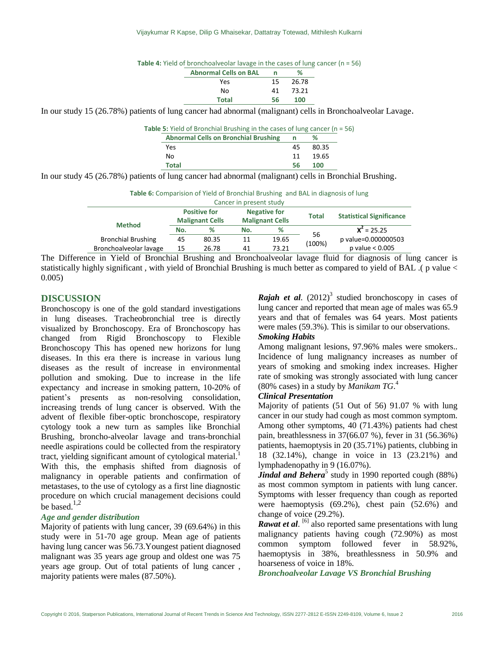| Table 4: Yield of bronchoalveolar lavage in the cases of lung cancer (n = 56) |  |  |  |
|-------------------------------------------------------------------------------|--|--|--|
|-------------------------------------------------------------------------------|--|--|--|

| <b>Abnormal Cells on BAL</b> | n  | %     |
|------------------------------|----|-------|
| Yes                          | 15 | 26.78 |
| No                           | 41 | 73.21 |
| Total                        | 56 | 100   |

In our study 15 (26.78%) patients of lung cancer had abnormal (malignant) cells in Bronchoalveolar Lavage.

| <b>Table 5:</b> Yield of Bronchial Brushing in the cases of lung cancer ( $n = 56$ ) |    |       |  |  |
|--------------------------------------------------------------------------------------|----|-------|--|--|
| <b>Abnormal Cells on Bronchial Brushing</b>                                          | n  | ℅     |  |  |
| Yes                                                                                  | 45 | 80.35 |  |  |
| No                                                                                   | 11 | 19.65 |  |  |
| Total                                                                                | 56 | 100   |  |  |

In our study 45 (26.78%) patients of lung cancer had abnormal (malignant) cells in Bronchial Brushing.

| <b>Table 6:</b> Comparision of Yield of Bronchial Brushing and BAL in diagnosis of lung |  |
|-----------------------------------------------------------------------------------------|--|
|-----------------------------------------------------------------------------------------|--|

|                           |                                               |       | Cancer in present study                       |       |        |                                 |  |
|---------------------------|-----------------------------------------------|-------|-----------------------------------------------|-------|--------|---------------------------------|--|
| <b>Method</b>             | <b>Positive for</b><br><b>Malignant Cells</b> |       | <b>Negative for</b><br><b>Malignant Cells</b> |       | Total  | <b>Statistical Significance</b> |  |
|                           | No.                                           | %     | No.                                           | ℅     | 56     | $X^2 = 25.25$                   |  |
| <b>Bronchial Brushing</b> | 45                                            | 80.35 | 11                                            | 19.65 | (100%) | p value=0.000000503             |  |
| Bronchoalveolar lavage    | 15                                            | 26.78 | 41                                            | 73.21 |        | p value $< 0.005$               |  |

The Difference in Yield of Bronchial Brushing and Bronchoalveolar lavage fluid for diagnosis of lung cancer is statistically highly significant , with yield of Bronchial Brushing is much better as compared to yield of BAL .( p value < 0.005)

# **DISCUSSION**

Bronchoscopy is one of the gold standard investigations in lung diseases. Tracheobronchial tree is directly visualized by Bronchoscopy. Era of Bronchoscopy has changed from Rigid Bronchoscopy to Flexible Bronchoscopy This has opened new horizons for lung diseases. In this era there is increase in various lung diseases as the result of increase in environmental pollution and smoking. Due to increase in the life expectancy and increase in smoking pattern, 10-20% of patient's presents as non-resolving consolidation, increasing trends of lung cancer is observed. With the advent of flexible fiber-optic bronchoscope, respiratory cytology took a new turn as samples like Bronchial Brushing, broncho-alveolar lavage and trans-bronchial needle aspirations could be collected from the respiratory tract, yielding significant amount of cytological material.<sup>1</sup> With this, the emphasis shifted from diagnosis of malignancy in operable patients and confirmation of metastases, to the use of cytology as a first line diagnostic procedure on which crucial management decisions could be based.<sup>1,2</sup>

#### *Age and gender distribution*

Majority of patients with lung cancer, 39 (69.64%) in this study were in 51-70 age group. Mean age of patients having lung cancer was 56.73.Youngest patient diagnosed malignant was 35 years age group and oldest one was 75 years age group. Out of total patients of lung cancer , majority patients were males (87.50%).

**Rajah et al.**  $(2012)^3$  studied bronchoscopy in cases of lung cancer and reported that mean age of males was 65.9 years and that of females was 64 years. Most patients were males (59.3%). This is similar to our observations.

# *Smoking Habits*

Among malignant lesions, 97.96% males were smokers.. Incidence of lung malignancy increases as number of years of smoking and smoking index increases. Higher rate of smoking was strongly associated with lung cancer (80% cases) in a study by *Manikam TG*. 4

#### *Clinical Presentation*

Majority of patients (51 Out of 56) 91.07 % with lung cancer in our study had cough as most common symptom. Among other symptoms, 40 (71.43%) patients had chest pain, breathlessness in 37(66.07 %), fever in 31 (56.36%) patients, haemoptysis in 20 (35.71%) patients, clubbing in 18 (32.14%), change in voice in 13 (23.21%) and lymphadenopathy in 9 (16.07%).

**Jindal and Behera**<sup>5</sup> study in 1990 reported cough (88%) as most common symptom in patients with lung cancer. Symptoms with lesser frequency than cough as reported were haemoptysis (69.2%), chest pain (52.6%) and change of voice (29.2%).

*Rawat et al.* <sup>[6]</sup> also reported same presentations with lung malignancy patients having cough (72.90%) as most common symptom followed fever in 58.92%, haemoptysis in 38%, breathlessness in 50.9% and hoarseness of voice in 18%.

*Bronchoalveolar Lavage VS Bronchial Brushing*